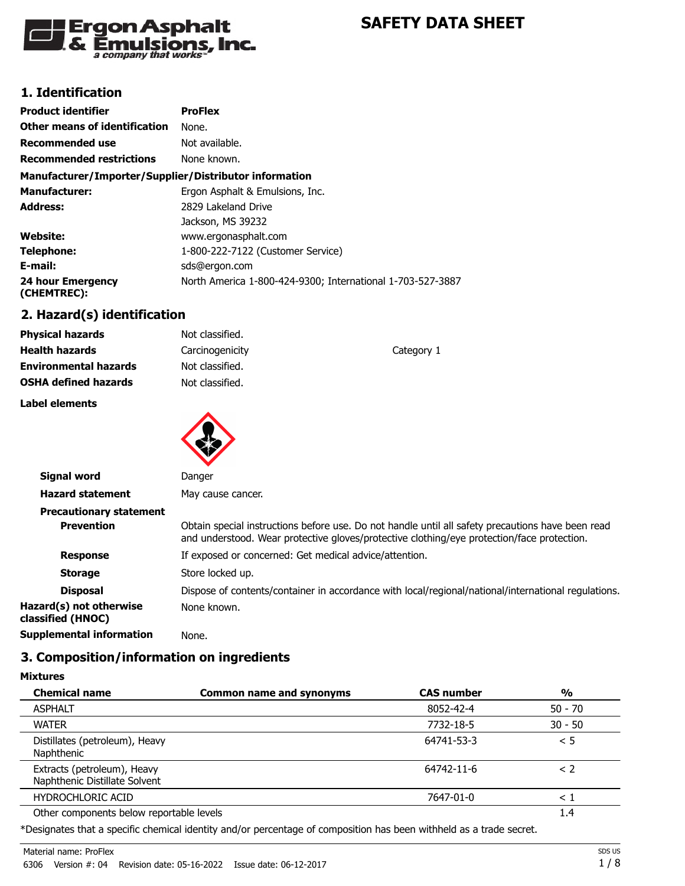

# **1. Identification**

| <b>Product identifier</b>                              | <b>ProFlex</b>                                             |
|--------------------------------------------------------|------------------------------------------------------------|
| Other means of identification                          | None.                                                      |
| <b>Recommended use</b>                                 | Not available.                                             |
| <b>Recommended restrictions</b>                        | None known.                                                |
| Manufacturer/Importer/Supplier/Distributor information |                                                            |
| <b>Manufacturer:</b>                                   | Ergon Asphalt & Emulsions, Inc.                            |
| Address:                                               | 2829 Lakeland Drive                                        |
|                                                        | Jackson, MS 39232                                          |
| <b>Website:</b>                                        | www.ergonasphalt.com                                       |
| Telephone:                                             | 1-800-222-7122 (Customer Service)                          |
| E-mail:                                                | sds@ergon.com                                              |
| 24 hour Emergency<br>(CHEMTREC):                       | North America 1-800-424-9300; International 1-703-527-3887 |

## **2. Hazard(s) identification**

| <b>Physical hazards</b>      | Not classified. |            |
|------------------------------|-----------------|------------|
| <b>Health hazards</b>        | Carcinogenicity | Category 1 |
| <b>Environmental hazards</b> | Not classified. |            |
| <b>OSHA defined hazards</b>  | Not classified. |            |
|                              |                 |            |

**Label elements**

**Mixtures**



| Signal word                                  | Danger                                                                                                                                                                                          |
|----------------------------------------------|-------------------------------------------------------------------------------------------------------------------------------------------------------------------------------------------------|
| <b>Hazard statement</b>                      | May cause cancer.                                                                                                                                                                               |
| <b>Precautionary statement</b>               |                                                                                                                                                                                                 |
| <b>Prevention</b>                            | Obtain special instructions before use. Do not handle until all safety precautions have been read<br>and understood. Wear protective gloves/protective clothing/eye protection/face protection. |
| <b>Response</b>                              | If exposed or concerned: Get medical advice/attention.                                                                                                                                          |
| <b>Storage</b>                               | Store locked up.                                                                                                                                                                                |
| <b>Disposal</b>                              | Dispose of contents/container in accordance with local/regional/national/international regulations.                                                                                             |
| Hazard(s) not otherwise<br>classified (HNOC) | None known.                                                                                                                                                                                     |
| <b>Supplemental information</b>              | None.                                                                                                                                                                                           |

## **3. Composition/information on ingredients**

| <b>Common name and synonyms</b> | <b>CAS number</b>                        | $\frac{0}{0}$ |
|---------------------------------|------------------------------------------|---------------|
|                                 | 8052-42-4                                | $50 - 70$     |
|                                 | 7732-18-5                                | $30 - 50$     |
|                                 | 64741-53-3                               | < 5           |
|                                 | 64742-11-6                               | $\leq$ 2      |
|                                 | 7647-01-0                                | $\leq 1$      |
|                                 |                                          | 1.4           |
|                                 | Other components below reportable levels |               |

\*Designates that a specific chemical identity and/or percentage of composition has been withheld as a trade secret.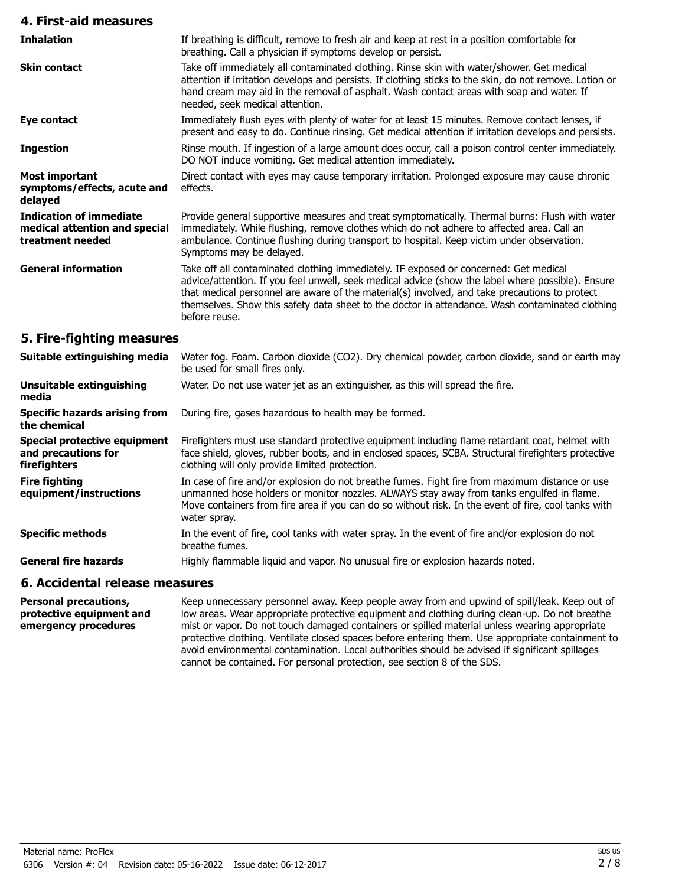| 4. First-aid measures                                                               |                                                                                                                                                                                                                                                                                                                                                                                                                |
|-------------------------------------------------------------------------------------|----------------------------------------------------------------------------------------------------------------------------------------------------------------------------------------------------------------------------------------------------------------------------------------------------------------------------------------------------------------------------------------------------------------|
| <b>Inhalation</b>                                                                   | If breathing is difficult, remove to fresh air and keep at rest in a position comfortable for<br>breathing. Call a physician if symptoms develop or persist.                                                                                                                                                                                                                                                   |
| <b>Skin contact</b>                                                                 | Take off immediately all contaminated clothing. Rinse skin with water/shower. Get medical<br>attention if irritation develops and persists. If clothing sticks to the skin, do not remove. Lotion or<br>hand cream may aid in the removal of asphalt. Wash contact areas with soap and water. If<br>needed, seek medical attention.                                                                            |
| <b>Eye contact</b>                                                                  | Immediately flush eyes with plenty of water for at least 15 minutes. Remove contact lenses, if<br>present and easy to do. Continue rinsing. Get medical attention if irritation develops and persists.                                                                                                                                                                                                         |
| <b>Ingestion</b>                                                                    | Rinse mouth. If ingestion of a large amount does occur, call a poison control center immediately.<br>DO NOT induce vomiting. Get medical attention immediately.                                                                                                                                                                                                                                                |
| <b>Most important</b><br>symptoms/effects, acute and<br>delayed                     | Direct contact with eyes may cause temporary irritation. Prolonged exposure may cause chronic<br>effects.                                                                                                                                                                                                                                                                                                      |
| <b>Indication of immediate</b><br>medical attention and special<br>treatment needed | Provide general supportive measures and treat symptomatically. Thermal burns: Flush with water<br>immediately. While flushing, remove clothes which do not adhere to affected area. Call an<br>ambulance. Continue flushing during transport to hospital. Keep victim under observation.<br>Symptoms may be delayed.                                                                                           |
| <b>General information</b>                                                          | Take off all contaminated clothing immediately. IF exposed or concerned: Get medical<br>advice/attention. If you feel unwell, seek medical advice (show the label where possible). Ensure<br>that medical personnel are aware of the material(s) involved, and take precautions to protect<br>themselves. Show this safety data sheet to the doctor in attendance. Wash contaminated clothing<br>before reuse. |
| 5. Fire-fighting measures                                                           |                                                                                                                                                                                                                                                                                                                                                                                                                |
| Suitable extinguishing media                                                        | Water fog. Foam. Carbon dioxide (CO2). Dry chemical powder, carbon dioxide, sand or earth may<br>be used for small fires only.                                                                                                                                                                                                                                                                                 |
| <b>Unsuitable extinguishing</b><br>media                                            | Water. Do not use water jet as an extinguisher, as this will spread the fire.                                                                                                                                                                                                                                                                                                                                  |
| <b>Specific hazards arising from</b><br>the chemical                                | During fire, gases hazardous to health may be formed.                                                                                                                                                                                                                                                                                                                                                          |
| Special protective equipment<br>and precautions for                                 | Firefighters must use standard protective equipment including flame retardant coat, helmet with<br>face shield, gloves, rubber boots, and in enclosed spaces, SCBA. Structural firefighters protective                                                                                                                                                                                                         |

face shield, gloves, rubber boots, and in enclosed spaces, SCBA. Structural firefighters protective clothing will only provide limited protection. **and precautions for firefighters** In case of fire and/or explosion do not breathe fumes. Fight fire from maximum distance or use unmanned hose holders or monitor nozzles. ALWAYS stay away from tanks engulfed in flame. Move containers from fire area if you can do so without risk. In the event of fire, cool tanks with water spray. **Fire fighting equipment/instructions** In the event of fire, cool tanks with water spray. In the event of fire and/or explosion do not breathe fumes. **Specific methods**

General fire hazards **Highly flammable liquid and vapor. No unusual fire or explosion hazards noted.** 

#### **6. Accidental release measures**

Keep unnecessary personnel away. Keep people away from and upwind of spill/leak. Keep out of low areas. Wear appropriate protective equipment and clothing during clean-up. Do not breathe mist or vapor. Do not touch damaged containers or spilled material unless wearing appropriate protective clothing. Ventilate closed spaces before entering them. Use appropriate containment to avoid environmental contamination. Local authorities should be advised if significant spillages cannot be contained. For personal protection, see section 8 of the SDS. **Personal precautions, protective equipment and emergency procedures**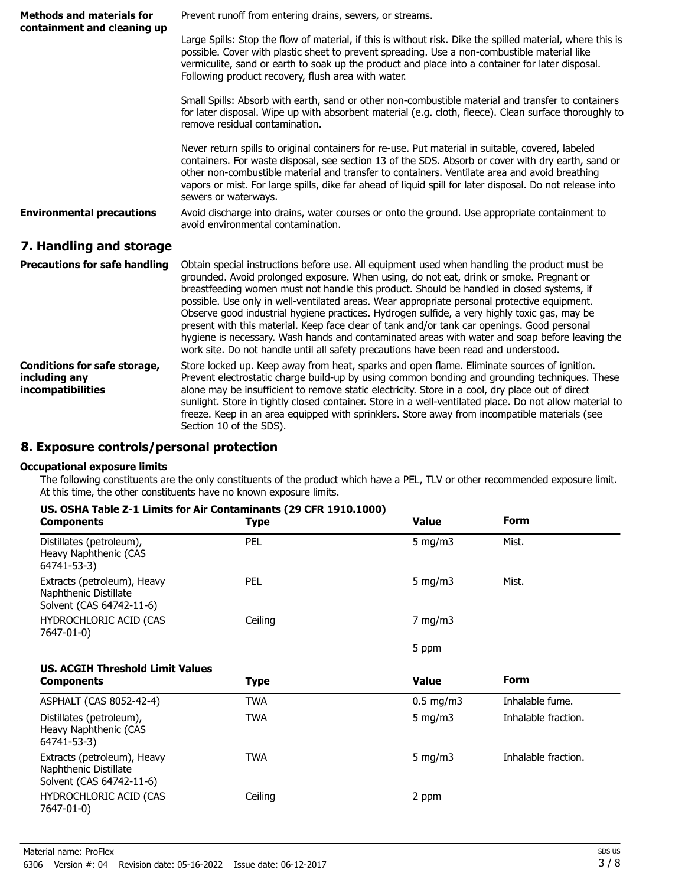| <b>Methods and materials for</b><br>containment and cleaning up           | Prevent runoff from entering drains, sewers, or streams.                                                                                                                                                                                                                                                                                                                                                                                                                                                                                                                                                                                                                                                                                                                      |  |
|---------------------------------------------------------------------------|-------------------------------------------------------------------------------------------------------------------------------------------------------------------------------------------------------------------------------------------------------------------------------------------------------------------------------------------------------------------------------------------------------------------------------------------------------------------------------------------------------------------------------------------------------------------------------------------------------------------------------------------------------------------------------------------------------------------------------------------------------------------------------|--|
|                                                                           | Large Spills: Stop the flow of material, if this is without risk. Dike the spilled material, where this is<br>possible. Cover with plastic sheet to prevent spreading. Use a non-combustible material like<br>vermiculite, sand or earth to soak up the product and place into a container for later disposal.<br>Following product recovery, flush area with water.                                                                                                                                                                                                                                                                                                                                                                                                          |  |
|                                                                           | Small Spills: Absorb with earth, sand or other non-combustible material and transfer to containers<br>for later disposal. Wipe up with absorbent material (e.g. cloth, fleece). Clean surface thoroughly to<br>remove residual contamination.                                                                                                                                                                                                                                                                                                                                                                                                                                                                                                                                 |  |
|                                                                           | Never return spills to original containers for re-use. Put material in suitable, covered, labeled<br>containers. For waste disposal, see section 13 of the SDS. Absorb or cover with dry earth, sand or<br>other non-combustible material and transfer to containers. Ventilate area and avoid breathing<br>vapors or mist. For large spills, dike far ahead of liquid spill for later disposal. Do not release into<br>sewers or waterways.                                                                                                                                                                                                                                                                                                                                  |  |
| <b>Environmental precautions</b>                                          | Avoid discharge into drains, water courses or onto the ground. Use appropriate containment to<br>avoid environmental contamination.                                                                                                                                                                                                                                                                                                                                                                                                                                                                                                                                                                                                                                           |  |
| 7. Handling and storage                                                   |                                                                                                                                                                                                                                                                                                                                                                                                                                                                                                                                                                                                                                                                                                                                                                               |  |
| <b>Precautions for safe handling</b>                                      | Obtain special instructions before use. All equipment used when handling the product must be<br>grounded. Avoid prolonged exposure. When using, do not eat, drink or smoke. Pregnant or<br>breastfeeding women must not handle this product. Should be handled in closed systems, if<br>possible. Use only in well-ventilated areas. Wear appropriate personal protective equipment.<br>Observe good industrial hygiene practices. Hydrogen sulfide, a very highly toxic gas, may be<br>present with this material. Keep face clear of tank and/or tank car openings. Good personal<br>hygiene is necessary. Wash hands and contaminated areas with water and soap before leaving the<br>work site. Do not handle until all safety precautions have been read and understood. |  |
| <b>Conditions for safe storage,</b><br>including any<br>incompatibilities | Store locked up. Keep away from heat, sparks and open flame. Eliminate sources of ignition.<br>Prevent electrostatic charge build-up by using common bonding and grounding techniques. These<br>alone may be insufficient to remove static electricity. Store in a cool, dry place out of direct<br>sunlight. Store in tightly closed container. Store in a well-ventilated place. Do not allow material to<br>freeze. Keep in an area equipped with sprinklers. Store away from incompatible materials (see<br>Section 10 of the SDS).                                                                                                                                                                                                                                       |  |

# **8. Exposure controls/personal protection**

#### **Occupational exposure limits**

The following constituents are the only constituents of the product which have a PEL, TLV or other recommended exposure limit. At this time, the other constituents have no known exposure limits.

| US. OSHA Table Z-1 Limits for Air Contaminants (29 CFR 1910.1000) |
|-------------------------------------------------------------------|
|-------------------------------------------------------------------|

| <b>Components</b>                                                                | <b>Type</b> | <b>Value</b> | <b>Form</b>         |
|----------------------------------------------------------------------------------|-------------|--------------|---------------------|
| Distillates (petroleum),<br>Heavy Naphthenic (CAS<br>64741-53-3)                 | <b>PEL</b>  | 5 mg/m $3$   | Mist.               |
| Extracts (petroleum), Heavy<br>Naphthenic Distillate<br>Solvent (CAS 64742-11-6) | <b>PEL</b>  | 5 mg/m $3$   | Mist.               |
| HYDROCHLORIC ACID (CAS<br>7647-01-0)                                             | Ceiling     | $7$ mg/m $3$ |                     |
|                                                                                  |             | 5 ppm        |                     |
| <b>US. ACGIH Threshold Limit Values</b>                                          |             |              |                     |
| <b>Components</b>                                                                | <b>Type</b> | <b>Value</b> | <b>Form</b>         |
| ASPHALT (CAS 8052-42-4)                                                          | <b>TWA</b>  | $0.5$ mg/m3  | Inhalable fume.     |
| Distillates (petroleum),<br>Heavy Naphthenic (CAS<br>64741-53-3)                 | <b>TWA</b>  | 5 mg/m $3$   | Inhalable fraction. |
| Extracts (petroleum), Heavy<br>Naphthenic Distillate<br>Solvent (CAS 64742-11-6) | <b>TWA</b>  | 5 mg/m $3$   | Inhalable fraction. |
| HYDROCHLORIC ACID (CAS<br>7647-01-0)                                             | Ceiling     | 2 ppm        |                     |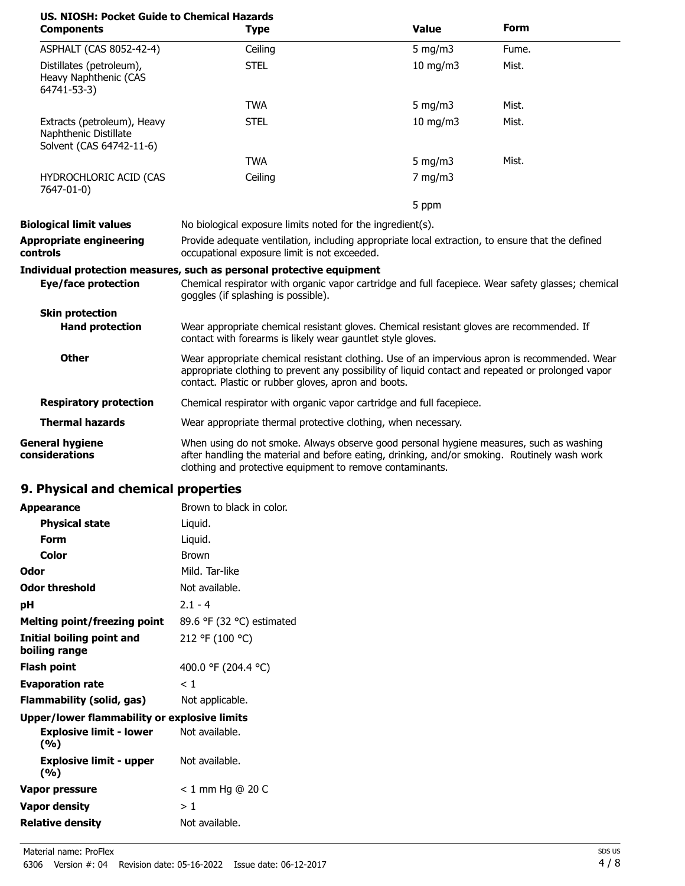| US. NIOSH: Pocket Guide to Chemical Hazards<br><b>Components</b>                 | <b>Type</b>                                                                                                                                                                                                                                               | <b>Value</b>      | <b>Form</b> |
|----------------------------------------------------------------------------------|-----------------------------------------------------------------------------------------------------------------------------------------------------------------------------------------------------------------------------------------------------------|-------------------|-------------|
| ASPHALT (CAS 8052-42-4)                                                          | Ceiling                                                                                                                                                                                                                                                   | $5$ mg/m $3$      | Fume.       |
| Distillates (petroleum),<br>Heavy Naphthenic (CAS<br>64741-53-3)                 | <b>STEL</b>                                                                                                                                                                                                                                               | $10 \text{ mg/m}$ | Mist.       |
|                                                                                  | <b>TWA</b>                                                                                                                                                                                                                                                | 5 mg/m $3$        | Mist.       |
| Extracts (petroleum), Heavy<br>Naphthenic Distillate<br>Solvent (CAS 64742-11-6) | <b>STEL</b>                                                                                                                                                                                                                                               | 10 mg/m3          | Mist.       |
|                                                                                  | <b>TWA</b>                                                                                                                                                                                                                                                | 5 mg/m $3$        | Mist.       |
| HYDROCHLORIC ACID (CAS<br>7647-01-0)                                             | Ceiling                                                                                                                                                                                                                                                   | $7$ mg/m $3$      |             |
|                                                                                  |                                                                                                                                                                                                                                                           | 5 ppm             |             |
| <b>Biological limit values</b>                                                   | No biological exposure limits noted for the ingredient(s).                                                                                                                                                                                                |                   |             |
| <b>Appropriate engineering</b><br>controls                                       | Provide adequate ventilation, including appropriate local extraction, to ensure that the defined<br>occupational exposure limit is not exceeded.                                                                                                          |                   |             |
| Eye/face protection                                                              | Individual protection measures, such as personal protective equipment<br>Chemical respirator with organic vapor cartridge and full facepiece. Wear safety glasses; chemical<br>goggles (if splashing is possible).                                        |                   |             |
| <b>Skin protection</b>                                                           |                                                                                                                                                                                                                                                           |                   |             |
| <b>Hand protection</b>                                                           | Wear appropriate chemical resistant gloves. Chemical resistant gloves are recommended. If<br>contact with forearms is likely wear gauntlet style gloves.                                                                                                  |                   |             |
| <b>Other</b>                                                                     | Wear appropriate chemical resistant clothing. Use of an impervious apron is recommended. Wear<br>appropriate clothing to prevent any possibility of liquid contact and repeated or prolonged vapor<br>contact. Plastic or rubber gloves, apron and boots. |                   |             |
| <b>Respiratory protection</b>                                                    | Chemical respirator with organic vapor cartridge and full facepiece.                                                                                                                                                                                      |                   |             |
| <b>Thermal hazards</b>                                                           | Wear appropriate thermal protective clothing, when necessary.                                                                                                                                                                                             |                   |             |
| <b>General hygiene</b><br>considerations                                         | When using do not smoke. Always observe good personal hygiene measures, such as washing<br>after handling the material and before eating, drinking, and/or smoking. Routinely wash work<br>clothing and protective equipment to remove contaminants.      |                   |             |

# **9. Physical and chemical properties**

| <b>Appearance</b>                                   | Brown to black in color.  |
|-----------------------------------------------------|---------------------------|
| <b>Physical state</b>                               | Liquid.                   |
| Form                                                | Liquid.                   |
| Color                                               | <b>Brown</b>              |
| Odor                                                | Mild. Tar-like            |
| Odor threshold                                      | Not available.            |
| рH                                                  | $2.1 - 4$                 |
| Melting point/freezing point                        | 89.6 °F (32 °C) estimated |
| Initial boiling point and<br>boiling range          | 212 °F (100 °C)           |
| Flash point                                         | 400.0 °F (204.4 °C)       |
| <b>Evaporation rate</b>                             | < 1                       |
| Flammability (solid, gas)                           | Not applicable.           |
| <b>Upper/lower flammability or explosive limits</b> |                           |
| Explosive limit - lower<br>(%)                      | Not available.            |
| <b>Explosive limit - upper</b><br>(%)               | Not available.            |
| Vapor pressure                                      | $< 1$ mm Hg @ 20 C        |
| <b>Vapor density</b>                                | >1                        |
| <b>Relative density</b>                             | Not available.            |
|                                                     |                           |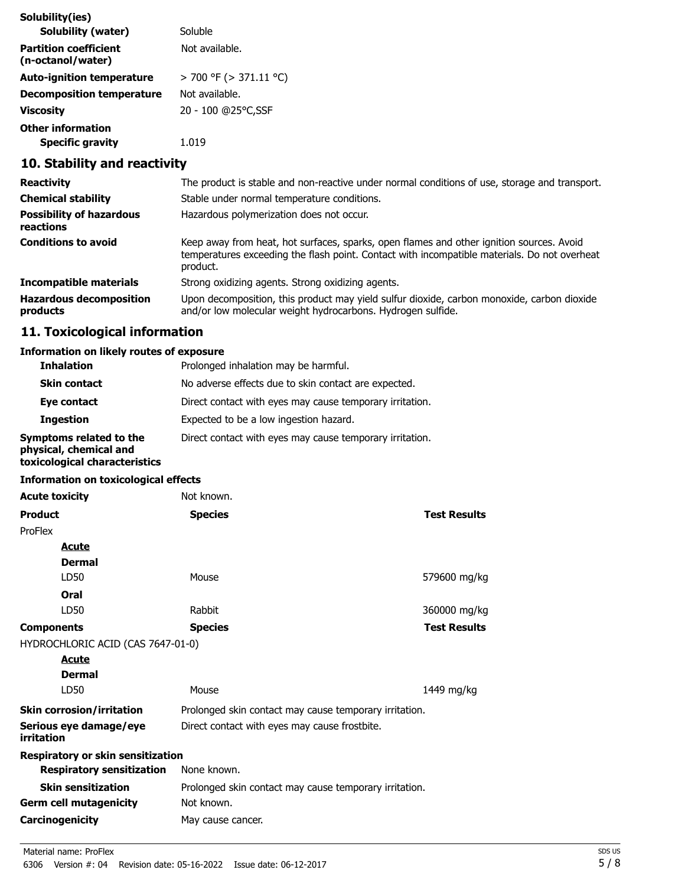| Solubility(ies)                                   |                             |
|---------------------------------------------------|-----------------------------|
| <b>Solubility (water)</b>                         | Soluble                     |
| <b>Partition coefficient</b><br>(n-octanol/water) | Not available.              |
| <b>Auto-ignition temperature</b>                  | $>$ 700 °F ( $>$ 371.11 °C) |
| <b>Decomposition temperature</b>                  | Not available.              |
| Viscosity                                         | 20 - 100 @25°C,SSF          |
| <b>Other information</b>                          |                             |
| <b>Specific gravity</b>                           | 1.019                       |

# **10. Stability and reactivity**

| <b>Reactivity</b>                            | The product is stable and non-reactive under normal conditions of use, storage and transport.                                                                                                        |
|----------------------------------------------|------------------------------------------------------------------------------------------------------------------------------------------------------------------------------------------------------|
| <b>Chemical stability</b>                    | Stable under normal temperature conditions.                                                                                                                                                          |
| <b>Possibility of hazardous</b><br>reactions | Hazardous polymerization does not occur.                                                                                                                                                             |
| <b>Conditions to avoid</b>                   | Keep away from heat, hot surfaces, sparks, open flames and other ignition sources. Avoid<br>temperatures exceeding the flash point. Contact with incompatible materials. Do not overheat<br>product. |
| Incompatible materials                       | Strong oxidizing agents. Strong oxidizing agents.                                                                                                                                                    |
| <b>Hazardous decomposition</b><br>products   | Upon decomposition, this product may yield sulfur dioxide, carbon monoxide, carbon dioxide<br>and/or low molecular weight hydrocarbons. Hydrogen sulfide.                                            |

# **11. Toxicological information**

### **Information on likely routes of exposure**

| <b>Inhalation</b>                                                                  | Prolonged inhalation may be harmful.                     |  |  |
|------------------------------------------------------------------------------------|----------------------------------------------------------|--|--|
| <b>Skin contact</b>                                                                | No adverse effects due to skin contact are expected.     |  |  |
| Eye contact                                                                        | Direct contact with eyes may cause temporary irritation. |  |  |
| <b>Ingestion</b>                                                                   | Expected to be a low ingestion hazard.                   |  |  |
| Symptoms related to the<br>physical, chemical and<br>toxicological characteristics | Direct contact with eyes may cause temporary irritation. |  |  |

#### **Information on toxicological effects**

| <b>Acute toxicity</b>                | Not known.                                             |                     |
|--------------------------------------|--------------------------------------------------------|---------------------|
| <b>Product</b>                       | <b>Species</b>                                         | <b>Test Results</b> |
| ProFlex                              |                                                        |                     |
| <b>Acute</b>                         |                                                        |                     |
| <b>Dermal</b>                        |                                                        |                     |
| LD50                                 | Mouse                                                  | 579600 mg/kg        |
| Oral                                 |                                                        |                     |
| LD50                                 | Rabbit                                                 | 360000 mg/kg        |
| <b>Components</b>                    | <b>Species</b>                                         | <b>Test Results</b> |
| HYDROCHLORIC ACID (CAS 7647-01-0)    |                                                        |                     |
| <b>Acute</b>                         |                                                        |                     |
| <b>Dermal</b>                        |                                                        |                     |
| LD50                                 | Mouse                                                  | 1449 mg/kg          |
| <b>Skin corrosion/irritation</b>     | Prolonged skin contact may cause temporary irritation. |                     |
| Serious eye damage/eye<br>irritation | Direct contact with eyes may cause frostbite.          |                     |
| Respiratory or skin sensitization    |                                                        |                     |
| <b>Respiratory sensitization</b>     | None known.                                            |                     |
| <b>Skin sensitization</b>            | Prolonged skin contact may cause temporary irritation. |                     |
| <b>Germ cell mutagenicity</b>        | Not known.                                             |                     |
| Carcinogenicity                      | May cause cancer.                                      |                     |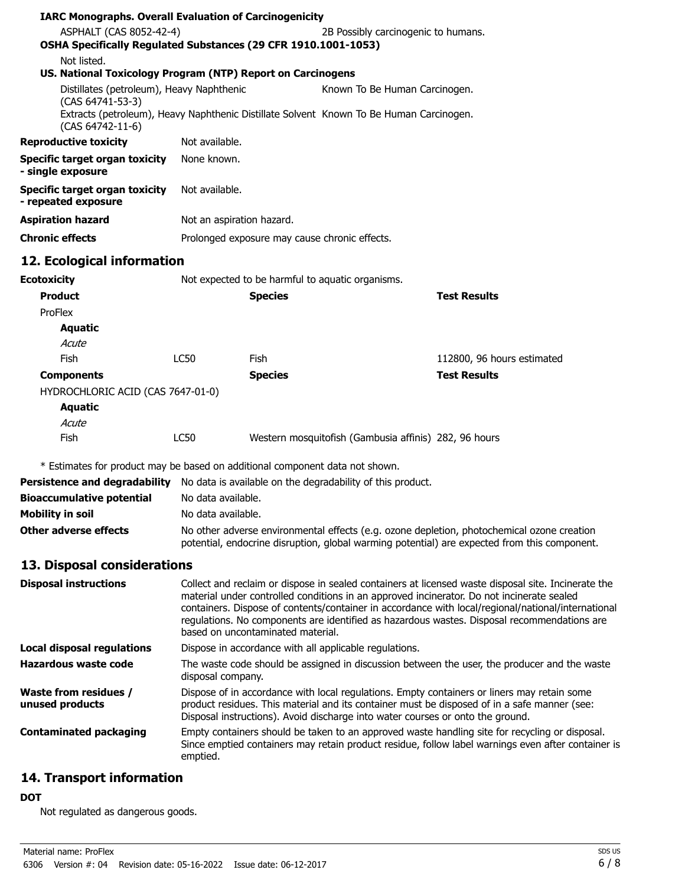| <b>IARC Monographs. Overall Evaluation of Carcinogenicity</b>                            |                                                                                                                                                                                                                                                                                                                                                                                                                                            |                |                                                                                         |                                                                                                                                                                                                      |
|------------------------------------------------------------------------------------------|--------------------------------------------------------------------------------------------------------------------------------------------------------------------------------------------------------------------------------------------------------------------------------------------------------------------------------------------------------------------------------------------------------------------------------------------|----------------|-----------------------------------------------------------------------------------------|------------------------------------------------------------------------------------------------------------------------------------------------------------------------------------------------------|
| ASPHALT (CAS 8052-42-4)                                                                  |                                                                                                                                                                                                                                                                                                                                                                                                                                            |                | 2B Possibly carcinogenic to humans.                                                     |                                                                                                                                                                                                      |
| OSHA Specifically Regulated Substances (29 CFR 1910.1001-1053)                           |                                                                                                                                                                                                                                                                                                                                                                                                                                            |                |                                                                                         |                                                                                                                                                                                                      |
| Not listed.                                                                              |                                                                                                                                                                                                                                                                                                                                                                                                                                            |                |                                                                                         |                                                                                                                                                                                                      |
| US. National Toxicology Program (NTP) Report on Carcinogens                              |                                                                                                                                                                                                                                                                                                                                                                                                                                            |                |                                                                                         |                                                                                                                                                                                                      |
| Distillates (petroleum), Heavy Naphthenic<br>(CAS 64741-53-3)                            |                                                                                                                                                                                                                                                                                                                                                                                                                                            |                | Known To Be Human Carcinogen.                                                           |                                                                                                                                                                                                      |
| (CAS 64742-11-6)                                                                         |                                                                                                                                                                                                                                                                                                                                                                                                                                            |                | Extracts (petroleum), Heavy Naphthenic Distillate Solvent Known To Be Human Carcinogen. |                                                                                                                                                                                                      |
| <b>Reproductive toxicity</b>                                                             | Not available.                                                                                                                                                                                                                                                                                                                                                                                                                             |                |                                                                                         |                                                                                                                                                                                                      |
| <b>Specific target organ toxicity</b><br>- single exposure                               | None known.                                                                                                                                                                                                                                                                                                                                                                                                                                |                |                                                                                         |                                                                                                                                                                                                      |
| <b>Specific target organ toxicity</b><br>- repeated exposure                             | Not available.                                                                                                                                                                                                                                                                                                                                                                                                                             |                |                                                                                         |                                                                                                                                                                                                      |
| <b>Aspiration hazard</b>                                                                 | Not an aspiration hazard.                                                                                                                                                                                                                                                                                                                                                                                                                  |                |                                                                                         |                                                                                                                                                                                                      |
| <b>Chronic effects</b>                                                                   |                                                                                                                                                                                                                                                                                                                                                                                                                                            |                | Prolonged exposure may cause chronic effects.                                           |                                                                                                                                                                                                      |
| 12. Ecological information                                                               |                                                                                                                                                                                                                                                                                                                                                                                                                                            |                |                                                                                         |                                                                                                                                                                                                      |
| <b>Ecotoxicity</b>                                                                       |                                                                                                                                                                                                                                                                                                                                                                                                                                            |                | Not expected to be harmful to aquatic organisms.                                        |                                                                                                                                                                                                      |
| <b>Product</b>                                                                           |                                                                                                                                                                                                                                                                                                                                                                                                                                            | <b>Species</b> |                                                                                         | <b>Test Results</b>                                                                                                                                                                                  |
| ProFlex                                                                                  |                                                                                                                                                                                                                                                                                                                                                                                                                                            |                |                                                                                         |                                                                                                                                                                                                      |
| <b>Aquatic</b>                                                                           |                                                                                                                                                                                                                                                                                                                                                                                                                                            |                |                                                                                         |                                                                                                                                                                                                      |
| Acute                                                                                    |                                                                                                                                                                                                                                                                                                                                                                                                                                            |                |                                                                                         |                                                                                                                                                                                                      |
| <b>Fish</b>                                                                              | LC50                                                                                                                                                                                                                                                                                                                                                                                                                                       | Fish           |                                                                                         | 112800, 96 hours estimated                                                                                                                                                                           |
| <b>Components</b>                                                                        |                                                                                                                                                                                                                                                                                                                                                                                                                                            | <b>Species</b> |                                                                                         | <b>Test Results</b>                                                                                                                                                                                  |
| HYDROCHLORIC ACID (CAS 7647-01-0)                                                        |                                                                                                                                                                                                                                                                                                                                                                                                                                            |                |                                                                                         |                                                                                                                                                                                                      |
| <b>Aquatic</b>                                                                           |                                                                                                                                                                                                                                                                                                                                                                                                                                            |                |                                                                                         |                                                                                                                                                                                                      |
| Acute                                                                                    |                                                                                                                                                                                                                                                                                                                                                                                                                                            |                |                                                                                         |                                                                                                                                                                                                      |
| Fish                                                                                     | <b>LC50</b>                                                                                                                                                                                                                                                                                                                                                                                                                                |                | Western mosquitofish (Gambusia affinis) 282, 96 hours                                   |                                                                                                                                                                                                      |
| * Estimates for product may be based on additional component data not shown.             |                                                                                                                                                                                                                                                                                                                                                                                                                                            |                |                                                                                         |                                                                                                                                                                                                      |
| Persistence and degradability No data is available on the degradability of this product. |                                                                                                                                                                                                                                                                                                                                                                                                                                            |                |                                                                                         |                                                                                                                                                                                                      |
| <b>Bioaccumulative potential</b>                                                         | No data available.                                                                                                                                                                                                                                                                                                                                                                                                                         |                |                                                                                         |                                                                                                                                                                                                      |
| <b>Mobility in soil</b>                                                                  | No data available.                                                                                                                                                                                                                                                                                                                                                                                                                         |                |                                                                                         |                                                                                                                                                                                                      |
| <b>Other adverse effects</b>                                                             |                                                                                                                                                                                                                                                                                                                                                                                                                                            |                |                                                                                         | No other adverse environmental effects (e.g. ozone depletion, photochemical ozone creation<br>potential, endocrine disruption, global warming potential) are expected from this component.           |
| 13. Disposal considerations                                                              |                                                                                                                                                                                                                                                                                                                                                                                                                                            |                |                                                                                         |                                                                                                                                                                                                      |
| <b>Disposal instructions</b>                                                             | Collect and reclaim or dispose in sealed containers at licensed waste disposal site. Incinerate the<br>material under controlled conditions in an approved incinerator. Do not incinerate sealed<br>containers. Dispose of contents/container in accordance with local/regional/national/international<br>regulations. No components are identified as hazardous wastes. Disposal recommendations are<br>based on uncontaminated material. |                |                                                                                         |                                                                                                                                                                                                      |
| Local disposal regulations                                                               |                                                                                                                                                                                                                                                                                                                                                                                                                                            |                | Dispose in accordance with all applicable regulations.                                  |                                                                                                                                                                                                      |
| <b>Hazardous waste code</b>                                                              | disposal company.                                                                                                                                                                                                                                                                                                                                                                                                                          |                |                                                                                         | The waste code should be assigned in discussion between the user, the producer and the waste                                                                                                         |
| <b>Waste from residues /</b><br>unused products                                          |                                                                                                                                                                                                                                                                                                                                                                                                                                            |                | Disposal instructions). Avoid discharge into water courses or onto the ground.          | Dispose of in accordance with local regulations. Empty containers or liners may retain some<br>product residues. This material and its container must be disposed of in a safe manner (see:          |
| <b>Contaminated packaging</b>                                                            | emptied.                                                                                                                                                                                                                                                                                                                                                                                                                                   |                |                                                                                         | Empty containers should be taken to an approved waste handling site for recycling or disposal.<br>Since emptied containers may retain product residue, follow label warnings even after container is |
|                                                                                          |                                                                                                                                                                                                                                                                                                                                                                                                                                            |                |                                                                                         |                                                                                                                                                                                                      |

# **14. Transport information**

#### **DOT**

Not regulated as dangerous goods.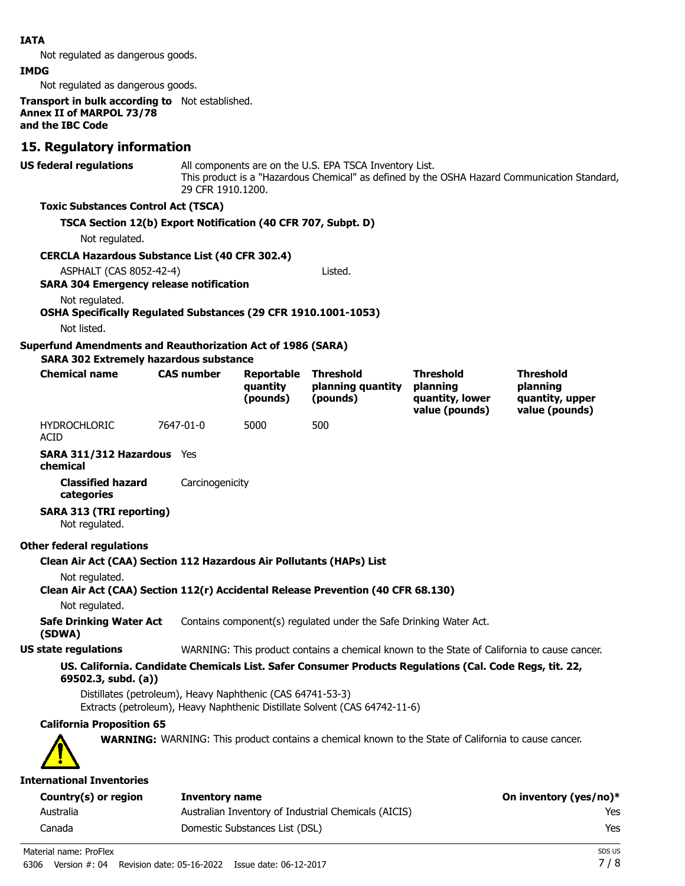#### **IATA**

Not regulated as dangerous goods.

#### **IMDG**

Not regulated as dangerous goods.

**Transport in bulk according to** Not established. **Annex II of MARPOL 73/78 and the IBC Code**

#### **15. Regulatory information**

**US federal regulations**

All components are on the U.S. EPA TSCA Inventory List. This product is a "Hazardous Chemical" as defined by the OSHA Hazard Communication Standard, 29 CFR 1910.1200.

#### **Toxic Substances Control Act (TSCA)**

#### **TSCA Section 12(b) Export Notification (40 CFR 707, Subpt. D)**

Not regulated.

#### **CERCLA Hazardous Substance List (40 CFR 302.4)**

ASPHALT (CAS 8052-42-4) Listed.

#### **SARA 304 Emergency release notification**

Not regulated.

#### **OSHA Specifically Regulated Substances (29 CFR 1910.1001-1053)**

Not listed.

#### **Superfund Amendments and Reauthorization Act of 1986 (SARA)**

**SARA 302 Extremely hazardous substance**

| <b>Chemical name</b> | <b>CAS number</b> | <b>Reportable</b><br>auantity<br>(pounds) | <b>Threshold</b><br>planning quantity<br>(pounds) | <b>Threshold</b><br>planning<br>quantity, lower<br>value (pounds) | <b>Threshold</b><br>planning<br>quantity, upper<br>value (pounds) |
|----------------------|-------------------|-------------------------------------------|---------------------------------------------------|-------------------------------------------------------------------|-------------------------------------------------------------------|
| HYDROCHLORIC         | 7647-01-0         | 5000                                      | 500                                               |                                                                   |                                                                   |

HYDROCHLORIC ACID

**SARA 311/312 Hazardous** Yes

**chemical**

**Classified hazard** Carcinogenicity **categories**

#### **SARA 313 (TRI reporting)**

Not regulated.

#### **Other federal regulations**

**Clean Air Act (CAA) Section 112 Hazardous Air Pollutants (HAPs) List**

Not regulated.

### **Clean Air Act (CAA) Section 112(r) Accidental Release Prevention (40 CFR 68.130)**

Not regulated.

**Safe Drinking Water Act** Contains component(s) regulated under the Safe Drinking Water Act.

**(SDWA)**

#### **US state regulations** WARNING: This product contains a chemical known to the State of California to cause cancer.

#### **US. California. Candidate Chemicals List. Safer Consumer Products Regulations (Cal. Code Regs, tit. 22, 69502.3, subd. (a))**

Distillates (petroleum), Heavy Naphthenic (CAS 64741-53-3) Extracts (petroleum), Heavy Naphthenic Distillate Solvent (CAS 64742-11-6)

#### **California Proposition 65**

**WARNING:** WARNING: This product contains a chemical known to the State of California to cause cancer.

#### **International Inventories**

| Country(s) or region | Inventory name                                       | On inventory (yes/no)* |
|----------------------|------------------------------------------------------|------------------------|
| Australia            | Australian Inventory of Industrial Chemicals (AICIS) | Yes                    |
| Canada               | Domestic Substances List (DSL)                       | Yes                    |